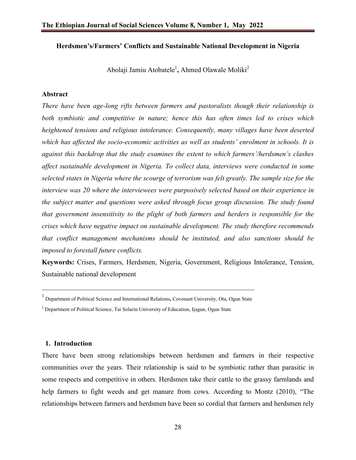### **Herdsmen's/Farmers' Conflicts and Sustainable National Development in Nigeria**

Abolaji Jamiu Atobatele<sup>1</sup>, Ahmed Olawale Moliki<sup>2</sup>

#### **Abstract**

*There have been age-long rifts between farmers and pastoralists though their relationship is both symbiotic and competitive in nature; hence this has often times led to crises which heightened tensions and religious intolerance. Consequently, many villages have been deserted which has affected the socio-economic activities as well as students' enrolment in schools. It is against this backdrop that the study examines the extent to which farmers'/herdsmen's clashes affect sustainable development in Nigeria. To collect data, interviews were conducted in some selected states in Nigeria where the scourge of terrorism was felt greatly. The sample size for the interview was 20 where the interviewees were purposively selected based on their experience in the subject matter and questions were asked through focus group discussion. The study found that government insensitivity to the plight of both farmers and herders is responsible for the crises which have negative impact on sustainable development. The study therefore recommends that conflict management mechanisms should be instituted, and also sanctions should be imposed to forestall future conflicts.*

**Keywords:** Crises, Farmers, Herdsmen, Nigeria, Government, Religious Intolerance, Tension, Sustainable national development

#### **1. Introduction**

There have been strong relationships between herdsmen and farmers in their respective communities over the years. Their relationship is said to be symbiotic rather than parasitic in some respects and competitive in others. Herdsmen take their cattle to the grassy farmlands and help farmers to fight weeds and get manure from cows. According to Montz (2010), "The relationships between farmers and herdsmen have been so cordial that farmers and herdsmen rely

<sup>1</sup> Department of Political Science and International Relations**,** Covenant University, Ota, Ogun State

<sup>&</sup>lt;sup>2</sup> Department of Political Science, Tai Solarin University of Education, Ijagun, Ogun State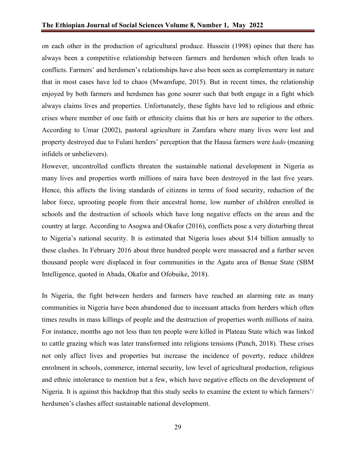on each other in the production of agricultural produce. Hussein (1998) opines that there has always been a competitive relationship between farmers and herdsmen which often leads to conflicts. Farmers' and herdsmen's relationships have also been seen as complementary in nature that in most cases have led to chaos (Mwamfupe, 2015). But in recent times, the relationship enjoyed by both farmers and herdsmen has gone sourer such that both engage in a fight which always claims lives and properties. Unfortunately, these fights have led to religious and ethnic crises where member of one faith or ethnicity claims that his or hers are superior to the others. According to Umar (2002), pastoral agriculture in Zamfara where many lives were lost and property destroyed due to Fulani herders' perception that the Hausa farmers were *kado* (meaning infidels or unbelievers).

However, uncontrolled conflicts threaten the sustainable national development in Nigeria as many lives and properties worth millions of naira have been destroyed in the last five years. Hence, this affects the living standards of citizens in terms of food security, reduction of the labor force, uprooting people from their ancestral home, low number of children enrolled in schools and the destruction of schools which have long negative effects on the areas and the country at large. According to Asogwa and Okafor (2016), conflicts pose a very disturbing threat to Nigeria's national security. It is estimated that Nigeria loses about \$14 billion annually to these clashes. In February 2016 about three hundred people were massacred and a further seven thousand people were displaced in four communities in the Agatu area of Benue State (SBM Intelligence, quoted in Abada, Okafor and Ofobuike, 2018).

In Nigeria, the fight between herders and farmers have reached an alarming rate as many communities in Nigeria have been abandoned due to incessant attacks from herders which often times results in mass killings of people and the destruction of properties worth millions of naira. For instance, months ago not less than ten people were killed in Plateau State which was linked to cattle grazing which was later transformed into religions tensions (Punch, 2018). These crises not only affect lives and properties but increase the incidence of poverty, reduce children enrolment in schools, commerce, internal security, low level of agricultural production, religious and ethnic intolerance to mention but a few, which have negative effects on the development of Nigeria. It is against this backdrop that this study seeks to examine the extent to which farmers'/ herdsmen's clashes affect sustainable national development.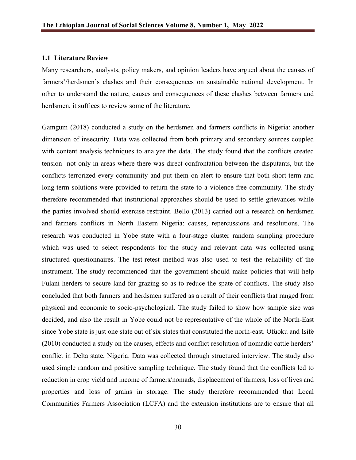#### **1.1 Literature Review**

Many researchers, analysts, policy makers, and opinion leaders have argued about the causes of farmers'/herdsmen's clashes and their consequences on sustainable national development. In other to understand the nature, causes and consequences of these clashes between farmers and herdsmen, it suffices to review some of the literature.

Gamgum (2018) conducted a study on the herdsmen and farmers conflicts in Nigeria: another dimension of insecurity. Data was collected from both primary and secondary sources coupled with content analysis techniques to analyze the data. The study found that the conflicts created tension not only in areas where there was direct confrontation between the disputants, but the conflicts terrorized every community and put them on alert to ensure that both short-term and long-term solutions were provided to return the state to a violence-free community. The study therefore recommended that institutional approaches should be used to settle grievances while the parties involved should exercise restraint. Bello (2013) carried out a research on herdsmen and farmers conflicts in North Eastern Nigeria: causes, repercussions and resolutions. The research was conducted in Yobe state with a four-stage cluster random sampling procedure which was used to select respondents for the study and relevant data was collected using structured questionnaires. The test-retest method was also used to test the reliability of the instrument. The study recommended that the government should make policies that will help Fulani herders to secure land for grazing so as to reduce the spate of conflicts. The study also concluded that both farmers and herdsmen suffered as a result of their conflicts that ranged from physical and economic to socio-psychological. The study failed to show how sample size was decided, and also the result in Yobe could not be representative of the whole of the North-East since Yobe state is just one state out of six states that constituted the north-east. Ofuoku and Isife (2010) conducted a study on the causes, effects and conflict resolution of nomadic cattle herders' conflict in Delta state, Nigeria. Data was collected through structured interview. The study also used simple random and positive sampling technique. The study found that the conflicts led to reduction in crop yield and income of farmers/nomads, displacement of farmers, loss of lives and properties and loss of grains in storage. The study therefore recommended that Local Communities Farmers Association (LCFA) and the extension institutions are to ensure that all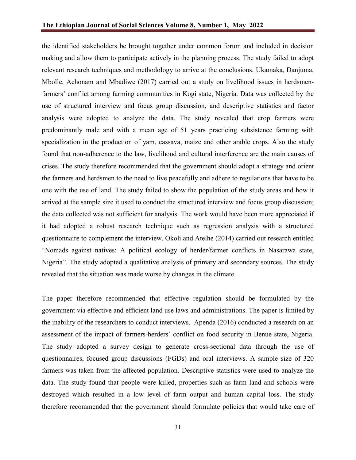the identified stakeholders be brought together under common forum and included in decision making and allow them to participate actively in the planning process. The study failed to adopt relevant research techniques and methodology to arrive at the conclusions. Ukamaka, Danjuma, Mbolle, Achonam and Mbadiwe (2017) carried out a study on livelihood issues in herdsmenfarmers' conflict among farming communities in Kogi state, Nigeria. Data was collected by the use of structured interview and focus group discussion, and descriptive statistics and factor analysis were adopted to analyze the data. The study revealed that crop farmers were predominantly male and with a mean age of 51 years practicing subsistence farming with specialization in the production of yam, cassava, maize and other arable crops. Also the study found that non-adherence to the law, livelihood and cultural interference are the main causes of crises. The study therefore recommended that the government should adopt a strategy and orient the farmers and herdsmen to the need to live peacefully and adhere to regulations that have to be one with the use of land. The study failed to show the population of the study areas and how it arrived at the sample size it used to conduct the structured interview and focus group discussion; the data collected was not sufficient for analysis. The work would have been more appreciated if it had adopted a robust research technique such as regression analysis with a structured questionnaire to complement the interview. Okoli and Atelhe (2014) carried out research entitled "Nomads against natives: A political ecology of herder/farmer conflicts in Nasarawa state, Nigeria". The study adopted a qualitative analysis of primary and secondary sources. The study revealed that the situation was made worse by changes in the climate.

The paper therefore recommended that effective regulation should be formulated by the government via effective and efficient land use laws and administrations. The paper is limited by the inability of the researchers to conduct interviews. Apenda (2016) conducted a research on an assessment of the impact of farmers-herders' conflict on food security in Benue state, Nigeria. The study adopted a survey design to generate cross-sectional data through the use of questionnaires, focused group discussions (FGDs) and oral interviews. A sample size of 320 farmers was taken from the affected population. Descriptive statistics were used to analyze the data. The study found that people were killed, properties such as farm land and schools were destroyed which resulted in a low level of farm output and human capital loss. The study therefore recommended that the government should formulate policies that would take care of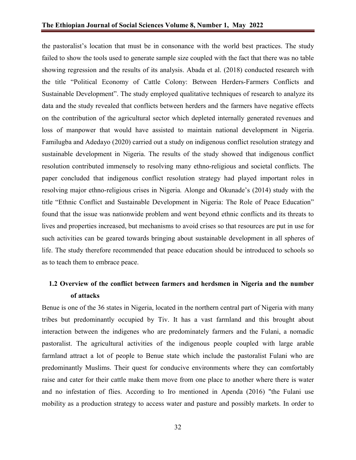the pastoralist's location that must be in consonance with the world best practices. The study failed to show the tools used to generate sample size coupled with the fact that there was no table showing regression and the results of its analysis. Abada et al. (2018) conducted research with the title "Political Economy of Cattle Colony: Between Herders-Farmers Conflicts and Sustainable Development". The study employed qualitative techniques of research to analyze its data and the study revealed that conflicts between herders and the farmers have negative effects on the contribution of the agricultural sector which depleted internally generated revenues and loss of manpower that would have assisted to maintain national development in Nigeria. Familugba and Adedayo (2020) carried out a study on indigenous conflict resolution strategy and sustainable development in Nigeria. The results of the study showed that indigenous conflict resolution contributed immensely to resolving many ethno-religious and societal conflicts. The paper concluded that indigenous conflict resolution strategy had played important roles in resolving major ethno-religious crises in Nigeria*.* Alonge and Okunade's (2014) study with the title "Ethnic Conflict and Sustainable Development in Nigeria: The Role of Peace Education" found that the issue was nationwide problem and went beyond ethnic conflicts and its threats to lives and properties increased, but mechanisms to avoid crises so that resources are put in use for such activities can be geared towards bringing about sustainable development in all spheres of life. The study therefore recommended that peace education should be introduced to schools so as to teach them to embrace peace.

## **1.2 Overview of the conflict between farmers and herdsmen in Nigeria and the number of attacks**

Benue is one of the 36 states in Nigeria, located in the northern central part of Nigeria with many tribes but predominantly occupied by Tiv. It has a vast farmland and this brought about interaction between the indigenes who are predominately farmers and the Fulani, a nomadic pastoralist. The agricultural activities of the indigenous people coupled with large arable farmland attract a lot of people to Benue state which include the pastoralist Fulani who are predominantly Muslims. Their quest for conducive environments where they can comfortably raise and cater for their cattle make them move from one place to another where there is water and no infestation of flies. According to Iro mentioned in Apenda (2016) "the Fulani use mobility as a production strategy to access water and pasture and possibly markets. In order to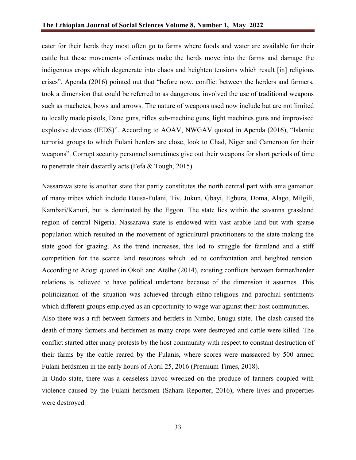cater for their herds they most often go to farms where foods and water are available for their cattle but these movements oftentimes make the herds move into the farms and damage the indigenous crops which degenerate into chaos and heighten tensions which result [in] religious crises". Apenda (2016) pointed out that "before now, conflict between the herders and farmers, took a dimension that could be referred to as dangerous, involved the use of traditional weapons such as machetes, bows and arrows. The nature of weapons used now include but are not limited to locally made pistols, Dane guns, rifles sub-machine guns, light machines guns and improvised explosive devices (IEDS)". According to AOAV, NWGAV quoted in Apenda (2016), "Islamic terrorist groups to which Fulani herders are close, look to Chad, Niger and Cameroon for their weapons". Corrupt security personnel sometimes give out their weapons for short periods of time to penetrate their dastardly acts (Fefa & Tough, 2015).

Nassarawa state is another state that partly constitutes the north central part with amalgamation of many tribes which include Hausa-Fulani, Tiv, Jukun, Gbayi, Egbura, Doma, Alago, Milgili, Kambari/Kanuri, but is dominated by the Eggon. The state lies within the savanna grassland region of central Nigeria. Nassarawa state is endowed with vast arable land but with sparse population which resulted in the movement of agricultural practitioners to the state making the state good for grazing. As the trend increases, this led to struggle for farmland and a stiff competition for the scarce land resources which led to confrontation and heighted tension. According to Adogi quoted in Okoli and Atelhe (2014), existing conflicts between farmer/herder relations is believed to have political undertone because of the dimension it assumes. This politicization of the situation was achieved through ethno-religious and parochial sentiments which different groups employed as an opportunity to wage war against their host communities.

Also there was a rift between farmers and herders in Nimbo, Enugu state. The clash caused the death of many farmers and herdsmen as many crops were destroyed and cattle were killed. The conflict started after many protests by the host community with respect to constant destruction of their farms by the cattle reared by the Fulanis, where scores were massacred by 500 armed Fulani herdsmen in the early hours of April 25, 2016 (Premium Times, 2018).

In Ondo state, there was a ceaseless havoc wrecked on the produce of farmers coupled with violence caused by the Fulani herdsmen (Sahara Reporter, 2016), where lives and properties were destroyed.

33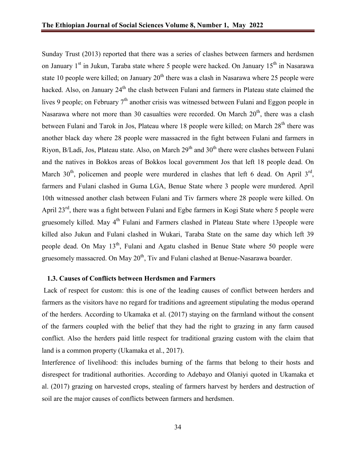Sunday Trust (2013) reported that there was a series of clashes between farmers and herdsmen on January 1<sup>st</sup> in Jukun, Taraba state where 5 people were hacked. On January 15<sup>th</sup> in Nasarawa state 10 people were killed; on January  $20<sup>th</sup>$  there was a clash in Nasarawa where 25 people were hacked. Also, on January 24<sup>th</sup> the clash between Fulani and farmers in Plateau state claimed the lives 9 people; on February  $7<sup>th</sup>$  another crisis was witnessed between Fulani and Eggon people in Nasarawa where not more than 30 casualties were recorded. On March  $20<sup>th</sup>$ , there was a clash between Fulani and Tarok in Jos, Plateau where  $18$  people were killed; on March  $28<sup>th</sup>$  there was another black day where 28 people were massacred in the fight between Fulani and farmers in Riyon, B/Ladi, Jos, Plateau state. Also, on March  $29<sup>th</sup>$  and  $30<sup>th</sup>$  there were clashes between Fulani and the natives in Bokkos areas of Bokkos local government Jos that left 18 people dead. On March  $30<sup>th</sup>$ , policemen and people were murdered in clashes that left 6 dead. On April  $3<sup>rd</sup>$ , farmers and Fulani clashed in Guma LGA, Benue State where 3 people were murdered. April 10th witnessed another clash between Fulani and Tiv farmers where 28 people were killed. On April 23<sup>rd</sup>, there was a fight between Fulani and Egbe farmers in Kogi State where 5 people were gruesomely killed. May 4<sup>th</sup> Fulani and Farmers clashed in Plateau State where 13 people were killed also Jukun and Fulani clashed in Wukari, Taraba State on the same day which left 39 people dead. On May  $13<sup>th</sup>$ , Fulani and Agatu clashed in Benue State where 50 people were gruesomely massacred. On May  $20<sup>th</sup>$ , Tiv and Fulani clashed at Benue-Nasarawa boarder.

#### **1.3. Causes of Conflicts between Herdsmen and Farmers**

Lack of respect for custom: this is one of the leading causes of conflict between herders and farmers as the visitors have no regard for traditions and agreement stipulating the modus operand of the herders. According to Ukamaka et al. (2017) staying on the farmland without the consent of the farmers coupled with the belief that they had the right to grazing in any farm caused conflict. Also the herders paid little respect for traditional grazing custom with the claim that land is a common property (Ukamaka et al., 2017).

Interference of livelihood: this includes burning of the farms that belong to their hosts and disrespect for traditional authorities. According to Adebayo and Olaniyi quoted in Ukamaka et al. (2017) grazing on harvested crops, stealing of farmers harvest by herders and destruction of soil are the major causes of conflicts between farmers and herdsmen.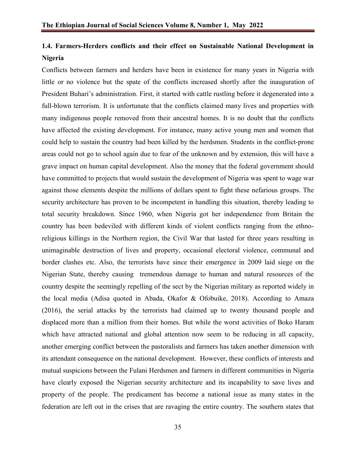## **1.4. Farmers-Herders conflicts and their effect on Sustainable National Development in Nigeria**

Conflicts between farmers and herders have been in existence for many years in Nigeria with little or no violence but the spate of the conflicts increased shortly after the inauguration of President Buhari's administration. First, it started with cattle rustling before it degenerated into a full-blown terrorism. It is unfortunate that the conflicts claimed many lives and properties with many indigenous people removed from their ancestral homes. It is no doubt that the conflicts have affected the existing development. For instance, many active young men and women that could help to sustain the country had been killed by the herdsmen. Students in the conflict-prone areas could not go to school again due to fear of the unknown and by extension, this will have a grave impact on human capital development. Also the money that the federal government should have committed to projects that would sustain the development of Nigeria was spent to wage war against those elements despite the millions of dollars spent to fight these nefarious groups. The security architecture has proven to be incompetent in handling this situation, thereby leading to total security breakdown. Since 1960, when Nigeria got her independence from Britain the country has been bedeviled with different kinds of violent conflicts ranging from the ethnoreligious killings in the Northern region, the Civil War that lasted for three years resulting in unimaginable destruction of lives and property, occasional electoral violence, communal and border clashes etc. Also, the terrorists have since their emergence in 2009 laid siege on the Nigerian State, thereby causing tremendous damage to human and natural resources of the country despite the seemingly repelling of the sect by the Nigerian military as reported widely in the local media (Adisa quoted in Abada, Okafor & Ofobuike, 2018). According to Amaza (2016), the serial attacks by the terrorists had claimed up to twenty thousand people and displaced more than a million from their homes. But while the worst activities of Boko Haram which have attracted national and global attention now seem to be reducing in all capacity, another emerging conflict between the pastoralists and farmers has taken another dimension with its attendant consequence on the national development. However, these conflicts of interests and mutual suspicions between the Fulani Herdsmen and farmers in different communities in Nigeria have clearly exposed the Nigerian security architecture and its incapability to save lives and property of the people. The predicament has become a national issue as many states in the federation are left out in the crises that are ravaging the entire country. The southern states that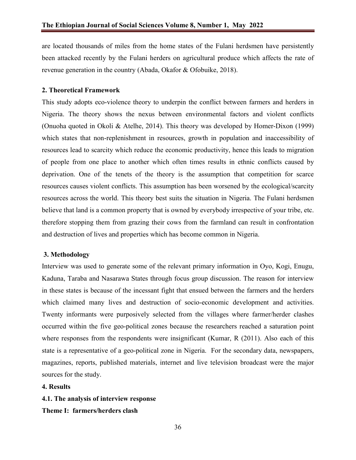are located thousands of miles from the home states of the Fulani herdsmen have persistently been attacked recently by the Fulani herders on agricultural produce which affects the rate of revenue generation in the country (Abada, Okafor & Ofobuike, 2018).

#### **2. Theoretical Framework**

This study adopts eco-violence theory to underpin the conflict between farmers and herders in Nigeria. The theory shows the nexus between environmental factors and violent conflicts (Onuoha quoted in Okoli & Atelhe, 2014). This theory was developed by Homer-Dixon (1999) which states that non-replenishment in resources, growth in population and inaccessibility of resources lead to scarcity which reduce the economic productivity, hence this leads to migration of people from one place to another which often times results in ethnic conflicts caused by deprivation. One of the tenets of the theory is the assumption that competition for scarce resources causes violent conflicts. This assumption has been worsened by the ecological/scarcity resources across the world. This theory best suits the situation in Nigeria. The Fulani herdsmen believe that land is a common property that is owned by everybody irrespective of your tribe, etc. therefore stopping them from grazing their cows from the farmland can result in confrontation and destruction of lives and properties which has become common in Nigeria.

#### **3. Methodology**

Interview was used to generate some of the relevant primary information in Oyo, Kogi, Enugu, Kaduna, Taraba and Nasarawa States through focus group discussion. The reason for interview in these states is because of the incessant fight that ensued between the farmers and the herders which claimed many lives and destruction of socio-economic development and activities. Twenty informants were purposively selected from the villages where farmer/herder clashes occurred within the five geo-political zones because the researchers reached a saturation point where responses from the respondents were insignificant (Kumar, R (2011). Also each of this state is a representative of a geo-political zone in Nigeria. For the secondary data, newspapers, magazines, reports, published materials, internet and live television broadcast were the major sources for the study.

#### **4. Results**

**4.1. The analysis of interview response** 

**Theme I: farmers/herders clash**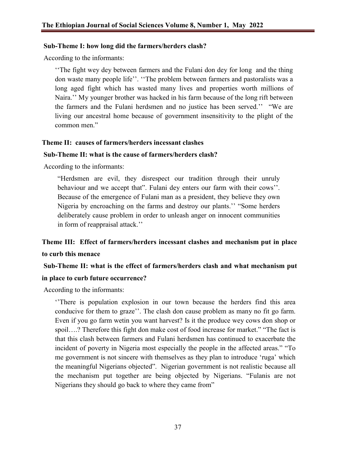#### **Sub-Theme I: how long did the farmers/herders clash?**

According to the informants:

''The fight wey dey between farmers and the Fulani don dey for long and the thing don waste many people life''. ''The problem between farmers and pastoralists was a long aged fight which has wasted many lives and properties worth millions of Naira.'' My younger brother was hacked in his farm because of the long rift between the farmers and the Fulani herdsmen and no justice has been served.'' "We are living our ancestral home because of government insensitivity to the plight of the common men."

### **Theme II: causes of farmers/herders incessant clashes**

### **Sub-Theme II: what is the cause of farmers/herders clash?**

According to the informants:

"Herdsmen are evil, they disrespect our tradition through their unruly behaviour and we accept that". Fulani dey enters our farm with their cows''. Because of the emergence of Fulani man as a president, they believe they own Nigeria by encroaching on the farms and destroy our plants.'' "Some herders deliberately cause problem in order to unleash anger on innocent communities in form of reappraisal attack.''

## **Theme III: Effect of farmers/herders incessant clashes and mechanism put in place to curb this menace**

# **Sub-Theme II: what is the effect of farmers/herders clash and what mechanism put**

### **in place to curb future occurrence?**

According to the informants:

''There is population explosion in our town because the herders find this area conducive for them to graze''. The clash don cause problem as many no fit go farm. Even if you go farm wetin you want harvest? Is it the produce wey cows don shop or spoil….? Therefore this fight don make cost of food increase for market." "The fact is that this clash between farmers and Fulani herdsmen has continued to exacerbate the incident of poverty in Nigeria most especially the people in the affected areas." "To me government is not sincere with themselves as they plan to introduce 'ruga' which the meaningful Nigerians objected". Nigerian government is not realistic because all the mechanism put together are being objected by Nigerians. "Fulanis are not Nigerians they should go back to where they came from"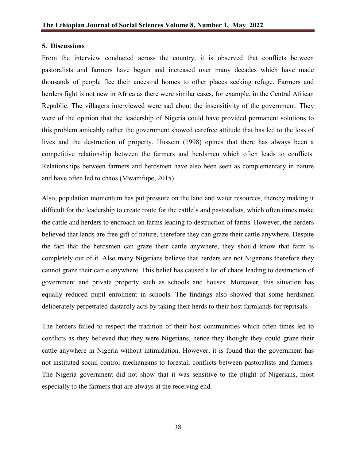#### **5. Discussions**

From the interview conducted across the country, it is observed that conflicts between pastoralists and farmers have begun and increased over many decades which have made thousands of people flee their ancestral homes to other places seeking refuge. Farmers and herders fight is not new in Africa as there were similar cases, for example, in the Central African Republic. The villagers interviewed were sad about the insensitivity of the government. They were of the opinion that the leadership of Nigeria could have provided permanent solutions to this problem amicably rather the government showed carefree attitude that has led to the loss of lives and the destruction of property. Hussein (1998) opines that there has always been a competitive relationship between the farmers and herdsmen which often leads to conflicts. Relationships between farmers and herdsmen have also been seen as complementary in nature and have often led to chaos (Mwamfupe, 2015).

Also, population momentum has put pressure on the land and water resources, thereby making it difficult for the leadership to create route for the cattle's and pastoralists, which often times make the cattle and herders to encroach on farms leading to destruction of farms. However, the herders believed that lands are free gift of nature, therefore they can graze their cattle anywhere. Despite the fact that the herdsmen can graze their cattle anywhere, they should know that farm is completely out of it. Also many Nigerians believe that herders are not Nigerians therefore they cannot graze their cattle anywhere. This belief has caused a lot of chaos leading to destruction of government and private property such as schools and houses. Moreover, this situation has equally reduced pupil enrolment in schools. The findings also showed that some herdsmen deliberately perpetrated dastardly acts by taking their herds to their host farmlands for reprisals.

The herders failed to respect the tradition of their host communities which often times led to conflicts as they believed that they were Nigerians, hence they thought they could graze their cattle anywhere in Nigeria without intimidation. However, it is found that the government has not instituted social control mechanisms to forestall conflicts between pastoralists and farmers. The Nigeria government did not show that it was sensitive to the plight of Nigerians, most especially to the farmers that are always at the receiving end.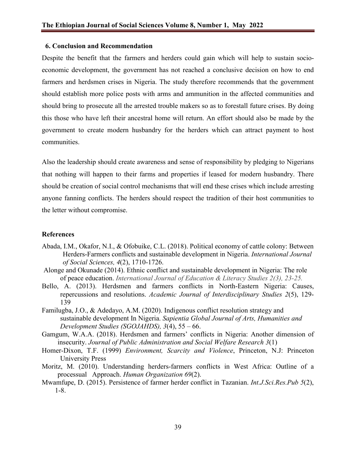### **6. Conclusion and Recommendation**

Despite the benefit that the farmers and herders could gain which will help to sustain socioeconomic development, the government has not reached a conclusive decision on how to end farmers and herdsmen crises in Nigeria. The study therefore recommends that the government should establish more police posts with arms and ammunition in the affected communities and should bring to prosecute all the arrested trouble makers so as to forestall future crises. By doing this those who have left their ancestral home will return. An effort should also be made by the government to create modern husbandry for the herders which can attract payment to host communities.

Also the leadership should create awareness and sense of responsibility by pledging to Nigerians that nothing will happen to their farms and properties if leased for modern husbandry. There should be creation of social control mechanisms that will end these crises which include arresting anyone fanning conflicts. The herders should respect the tradition of their host communities to the letter without compromise.

#### **References**

- Abada, I.M., Okafor, N.I., & Ofobuike, C.L. (2018). Political economy of cattle colony: Between Herders-Farmers conflicts and sustainable development in Nigeria. *International Journal of Social Sciences, 4*(2), 1710-1726.
- Alonge and Okunade (2014). Ethnic conflict and sustainable development in Nigeria: The role of peace education. *International Journal of Education & Literacy Studies 2(3), 23-25.*
- Bello, A. (2013). Herdsmen and farmers conflicts in North-Eastern Nigeria: Causes, repercussions and resolutions. *Academic Journal of Interdisciplinary Studies 2*(5), 129- 139
- Familugba, J.O., & Adedayo, A.M. (2020). Indigenous conflict resolution strategy and sustainable development In Nigeria. *Sapientia Global Journal of Arts, Humanities and Development Studies (SGOJAHDS), 3*(4), 55 – 66.
- Gamgum, W.A.A. (2018). Herdsmen and farmers' conflicts in Nigeria: Another dimension of insecurity. *Journal of Public Administration and Social Welfare Research 3*(1)
- Homer-Dixon, T.F. (1999) *Environment, Scarcity and Violence*, Princeton, N.J: Princeton University Press
- Moritz, M. (2010). Understanding herders-farmers conflicts in West Africa: Outline of a processual Approach. *Human Organization 69*(2).
- Mwamfupe, D. (2015). Persistence of farmer herder conflict in Tazanian. *Int.J.Sci.Res.Pub 5*(2), 1-8.